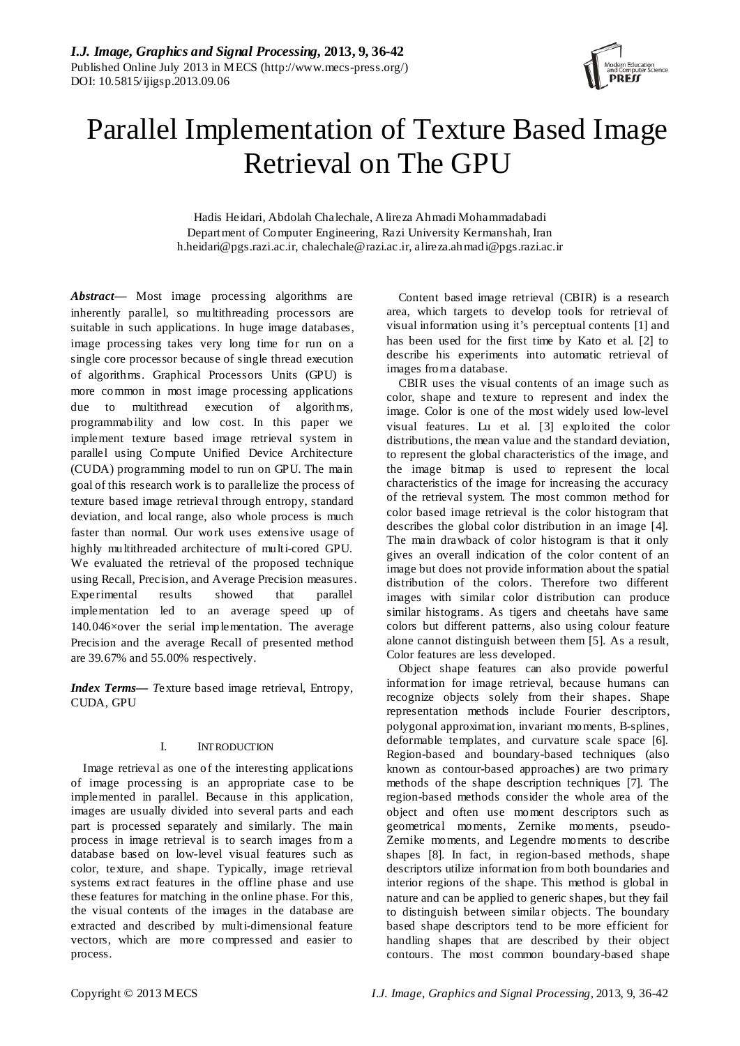

# Parallel Implementation of Texture Based Image Retrieval on The GPU

Hadis Heidari, Abdolah Chalechale, Alireza Ahmadi Mohammadabadi Department of Computer Engineering, Razi University Kermanshah, Iran h.heidari@pgs.razi.ac.ir, chalechale@razi.ac.ir, alireza.ahmadi@pgs.razi.ac.ir

*Abstract*— Most image processing algorithms are inherently parallel, so multithreading processors are suitable in such applications. In huge image databases, image processing takes very long time for run on a single core processor because of single thread execution of algorithms. Graphical Processors Units (GPU) is more common in most image processing applications due to multithread execution of algorithms, programmability and low cost. In this paper we implement texture based image retrieval system in parallel using Compute Unified Device Architecture (CUDA) programming model to run on GPU. The main goal of this research work is to parallelize the process of texture based image retrieval through entropy, standard deviation, and local range, also whole process is much faster than normal. Our work uses extensive usage of highly multithreaded architecture of multi-cored GPU. We evaluated the retrieval of the proposed technique using Recall, Precision, and Average Precision measures. Experimental results showed that parallel implementation led to an average speed up of 140.046×over the serial implementation. The average Precision and the average Recall of presented method are 39.67% and 55.00% respectively.

*Index Terms— T*exture based image retrieval, Entropy, CUDA, GPU

# I. INTRODUCTION

Image retrieval as one of the interesting applications of image processing is an appropriate case to be implemented in parallel. Because in this application, images are usually divided into several parts and each part is processed separately and similarly. The main process in image retrieval is to search images from a database based on low-level visual features such as color, texture, and shape. Typically, image retrieval systems extract features in the offline phase and use these features for matching in the online phase. For this, the visual contents of the images in the database are extracted and described by multi-dimensional feature vectors, which are more compressed and easier to process.

Content based image retrieval (CBIR) is a research area, which targets to develop tools for retrieval of visual information using it's perceptual contents [1] and has been used for the first time by Kato et al. [2] to describe his experiments into automatic retrieval of images from a database.

CBIR uses the visual contents of an image such as color, shape and texture to represent and index the image. Color is one of the most widely used low-level visual features. Lu et al. [3] exploited the color distributions, the mean value and the standard deviation, to represent the global characteristics of the image, and the image bitmap is used to represent the local characteristics of the image for increasing the accuracy of the retrieval system. The most common method for color based image retrieval is the color histogram that describes the global color distribution in an image [4]. The main drawback of color histogram is that it only gives an overall indication of the color content of an image but does not provide information about the spatial distribution of the colors. Therefore two different images with similar color distribution can produce similar histograms. As tigers and cheetahs have same colors but different patterns, also using colour feature alone cannot distinguish between them [5]. As a result, Color features are less developed.

Object shape features can also provide powerful information for image retrieval, because humans can recognize objects solely from their shapes. Shape representation methods include Fourier descriptors, polygonal approximation, invariant moments, B-splines, deformable templates, and curvature scale space [6]. Region-based and boundary-based techniques (also known as contour-based approaches) are two primary methods of the shape description techniques [7]. The region-based methods consider the whole area of the object and often use moment descriptors such as geometrical moments, Zernike moments, pseudo-Zernike moments, and Legendre moments to describe shapes [8]. In fact, in region-based methods, shape descriptors utilize information from both boundaries and interior regions of the shape. This method is global in nature and can be applied to generic shapes, but they fail to distinguish between similar objects. The boundary based shape descriptors tend to be more efficient for handling shapes that are described by their object contours. The most common boundary-based shape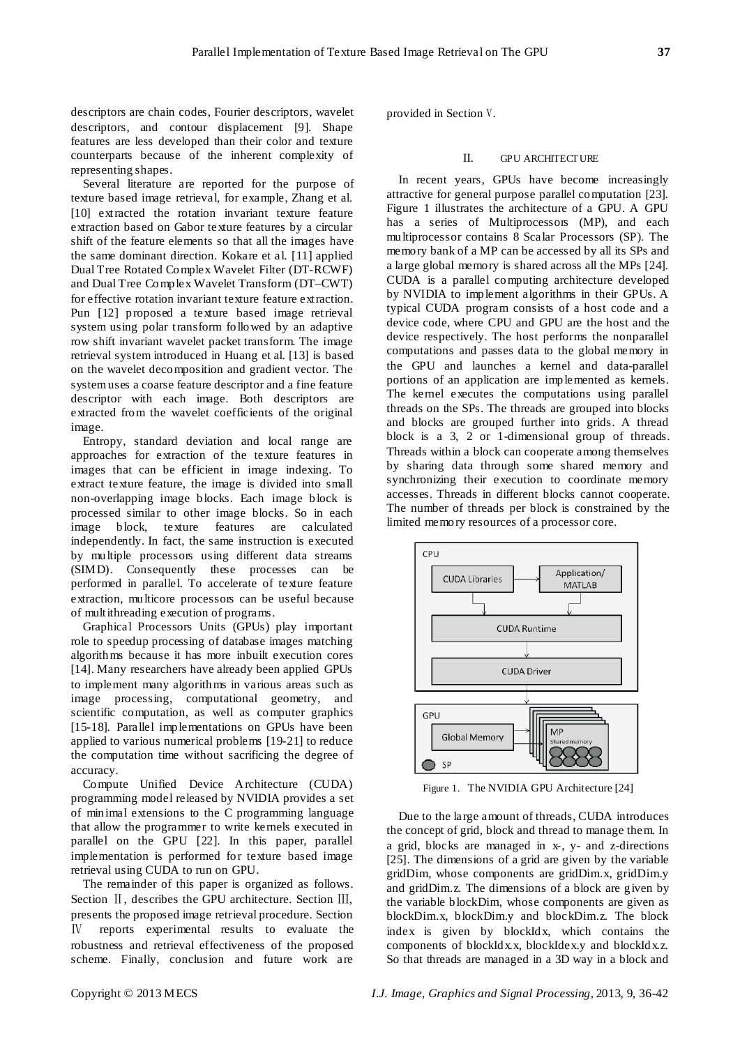descriptors are chain codes, Fourier descriptors, wavelet descriptors, and contour displacement [9]. Shape features are less developed than their color and texture counterparts because of the inherent complexity of representing shapes.

Several literature are reported for the purpose of texture based image retrieval, for example, Zhang et al. [10] extracted the rotation invariant texture feature extraction based on Gabor texture features by a circular shift of the feature elements so that all the images have the same dominant direction. Kokare et al. [11] applied Dual Tree Rotated Complex Wavelet Filter (DT-RCWF) and Dual Tree Complex Wavelet Transform (DT–CWT) for effective rotation invariant texture feature extraction. Pun [12] proposed a texture based image retrieval system using polar transform followed by an adaptive row shift invariant wavelet packet transform. The image retrieval system introduced in Huang et al. [13] is based on the wavelet decomposition and gradient vector. The system uses a coarse feature descriptor and a fine feature descriptor with each image. Both descriptors are extracted from the wavelet coefficients of the original image.

Entropy, standard deviation and local range are approaches for extraction of the texture features in images that can be efficient in image indexing. To extract texture feature, the image is divided into small non-overlapping image blocks. Each image block is processed similar to other image blocks. So in each image block, texture features are calculated independently. In fact, the same instruction is executed by multiple processors using different data streams (SIMD). Consequently these processes can be performed in parallel. To accelerate of texture feature extraction, multicore processors can be useful because of multithreading execution of programs.

Graphical Processors Units (GPUs) play important role to speedup processing of database images matching algorithms because it has more inbuilt execution cores [14]. Many researchers have already been applied GPUs to implement many algorithms in various areas such as image processing, computational geometry, and scientific computation, as well as computer graphics [15-18]. Parallel implementations on GPUs have been applied to various numerical problems [19-21] to reduce the computation time without sacrificing the degree of accuracy.

Compute Unified Device Architecture (CUDA) programming model released by NVIDIA provides a set of minimal extensions to the C programming language that allow the programmer to write kernels executed in parallel on the GPU [22]. In this paper, parallel implementation is performed for texture based image retrieval using CUDA to run on GPU.

The remainder of this paper is organized as follows. Section II, describes the GPU architecture. Section III, presents the proposed image retrieval procedure. Section Ⅳ reports experimental results to evaluate the robustness and retrieval effectiveness of the proposed scheme. Finally, conclusion and future work are provided in Section V.

## II. GPU ARCHITECTURE

In recent years, GPUs have become increasingly attractive for general purpose parallel computation [23]. Figure 1 illustrates the architecture of a GPU. A GPU has a series of Multiprocessors (MP), and each multiprocessor contains 8 Scalar Processors (SP). The memory bank of a MP can be accessed by all its SPs and a large global memory is shared across all the MPs [24]. CUDA is a parallel computing architecture developed by NVIDIA to implement algorithms in their GPUs. A typical CUDA program consists of a host code and a device code, where CPU and GPU are the host and the device respectively. The host performs the nonparallel computations and passes data to the global memory in the GPU and launches a kernel and data-parallel portions of an application are implemented as kernels. The kernel executes the computations using parallel threads on the SPs. The threads are grouped into blocks and blocks are grouped further into grids. A thread block is a 3, 2 or 1-dimensional group of threads. Threads within a block can cooperate among themselves by sharing data through some shared memory and synchronizing their execution to coordinate memory accesses. Threads in different blocks cannot cooperate. The number of threads per block is constrained by the limited memory resources of a processor core.



Figure 1. The NVIDIA GPU Architecture [24]

Due to the large amount of threads, CUDA introduces the concept of grid, block and thread to manage them. In a grid, blocks are managed in x-, y- and z-directions [25]. The dimensions of a grid are given by the variable gridDim, whose components are gridDim.x, gridDim.y and gridDim.z. The dimensions of a block are given by the variable blockDim, whose components are given as blockDim.x, blockDim.y and blockDim.z. The block index is given by blockIdx, which contains the components of blockIdx.x, blockIdex.y and blockIdx.z. So that threads are managed in a 3D way in a block and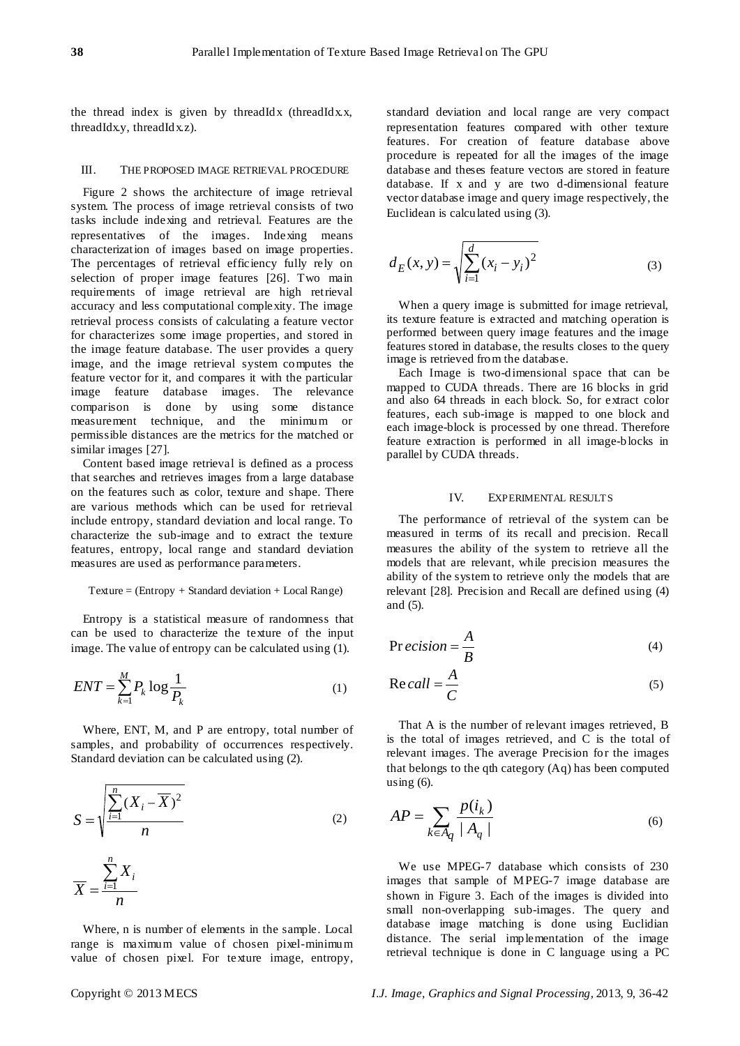the thread index is given by threadIdx (threadIdx.x, threadIdx.y, threadIdx.z).

#### III. THE PROPOSED IMAGE RETRIEVAL PROCEDURE

Figure 2 shows the architecture of image retrieval system. The process of image retrieval consists of two tasks include indexing and retrieval. Features are the representatives of the images. Indexing means characterization of images based on image properties. The percentages of retrieval efficiency fully rely on selection of proper image features [26]. Two main requirements of image retrieval are high retrieval accuracy and less computational complexity. The image retrieval process consists of calculating a feature vector for characterizes some image properties, and stored in the image feature database. The user provides a query image, and the image retrieval system computes the feature vector for it, and compares it with the particular image feature database images. The relevance comparison is done by using some distance measurement technique, and the minimum or permissible distances are the metrics for the matched or similar images [27].

Content based image retrieval is defined as a process that searches and retrieves images from a large database on the features such as color, texture and shape. There are various methods which can be used for retrieval include entropy, standard deviation and local range. To characterize the sub-image and to extract the texture features, entropy, local range and standard deviation measures are used as performance parameters.

## Texture = (Entropy + Standard deviation + Local Range)

Entropy is a statistical measure of randomness that can be used to characterize the texture of the input image. The value of entropy can be calculated using (1).

$$
ENT = \sum_{k=1}^{M} P_k \log \frac{1}{P_k} \tag{1}
$$

Where, ENT, M, and P are entropy, total number of samples, and probability of occurrences respectively. Standard deviation can be calculated using (2).

$$
S = \sqrt{\frac{\sum_{i=1}^{n} (X_i - \overline{X})^2}{n}}
$$
\n
$$
\overline{X} = \frac{\sum_{i=1}^{n} X_i}{n}
$$
\n(2)

Where, n is number of elements in the sample. Local range is maximum value of chosen pixel-minimum value of chosen pixel. For texture image, entropy, standard deviation and local range are very compact representation features compared with other texture features. For creation of feature database above procedure is repeated for all the images of the image database and theses feature vectors are stored in feature database. If x and y are two d-dimensional feature vector database image and query image respectively, the Euclidean is calculated using (3).

$$
d_E(x, y) = \sqrt{\sum_{i=1}^{d} (x_i - y_i)^2}
$$
 (3)

When a query image is submitted for image retrieval, its texture feature is extracted and matching operation is performed between query image features and the image features stored in database, the results closes to the query image is retrieved from the database.

Each Image is two-dimensional space that can be mapped to CUDA threads. There are 16 blocks in grid and also 64 threads in each block. So, for extract color features, each sub-image is mapped to one block and each image-block is processed by one thread. Therefore feature extraction is performed in all image-blocks in parallel by CUDA threads.

#### IV. EXPERIMENTAL RESULTS

The performance of retrieval of the system can be measured in terms of its recall and precision. Recall measures the ability of the system to retrieve all the models that are relevant, while precision measures the ability of the system to retrieve only the models that are relevant [28]. Precision and Recall are defined using (4) and (5).

$$
Pr\,ecision = \frac{A}{B} \tag{4}
$$

$$
Recall = \frac{A}{C}
$$
 (5)

That A is the number of relevant images retrieved, B is the total of images retrieved, and C is the total of relevant images. The average Precision for the images that belongs to the qth category (Aq) has been computed using  $(6)$ .

$$
AP = \sum_{k \in A_q} \frac{p(i_k)}{|A_q|} \tag{6}
$$

We use MPEG-7 database which consists of 230 images that sample of MPEG-7 image database are shown in Figure 3. Each of the images is divided into small non-overlapping sub-images. The query and database image matching is done using Euclidian distance. The serial implementation of the image retrieval technique is done in C language using a PC

*n*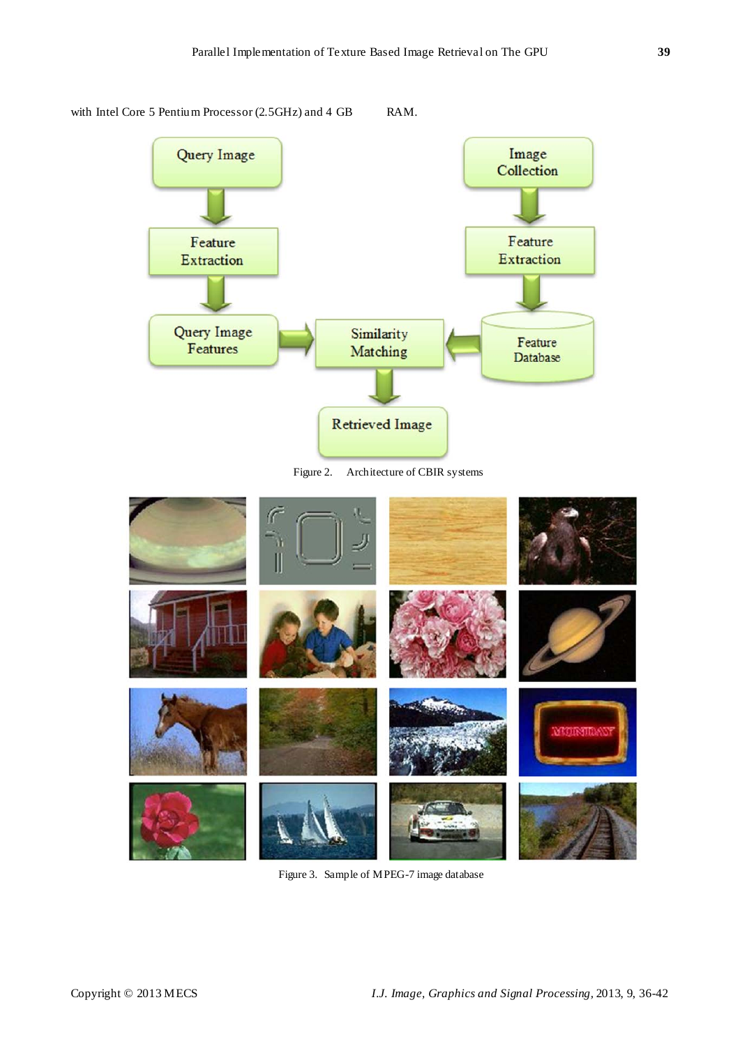

with Intel Core 5 Pentium Processor (2.5GHz) and 4 GB RAM.

Figure 2. Architecture of CBIR systems



Figure 3. Sample of MPEG-7 image database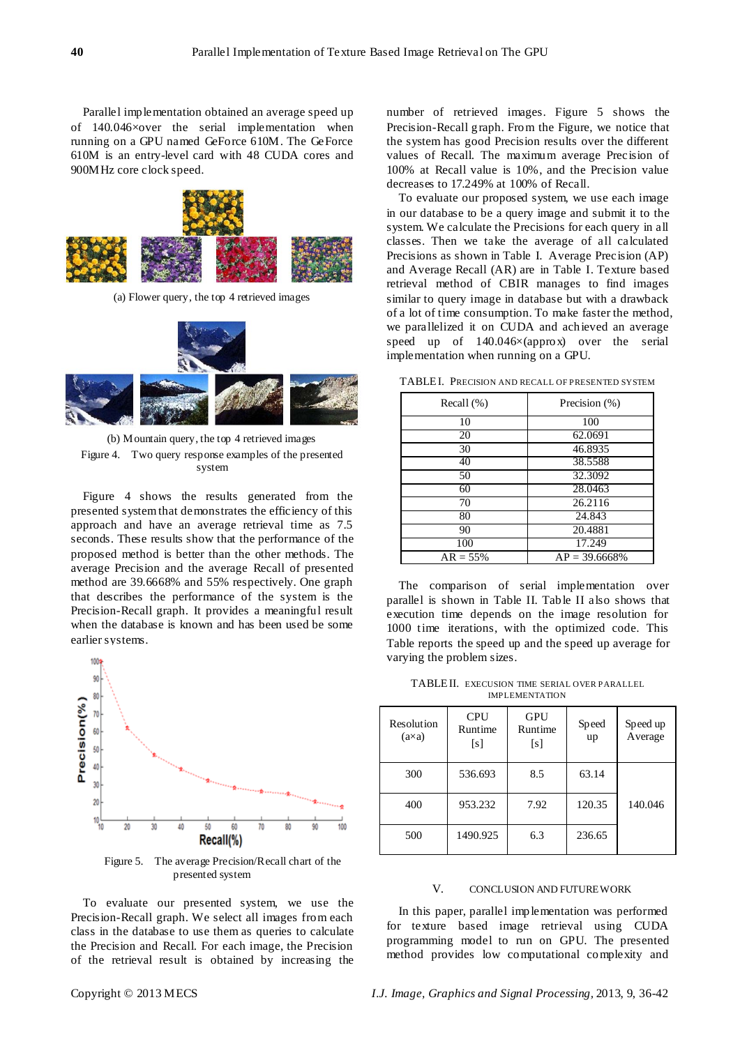Parallel implementation obtained an average speed up of 140.046×over the serial implementation when running on a GPU named GeForce 610M. The GeForce 610M is an entry-level card with 48 CUDA cores and 900MHz core clock speed.



(a) Flower query, the top 4 retrieved images



(b) Mountain query, the top 4 retrieved images Figure 4. Two query response examples of the presented system

Figure 4 shows the results generated from the presented system that demonstrates the efficiency of this approach and have an average retrieval time as 7.5 seconds. These results show that the performance of the proposed method is better than the other methods. The average Precision and the average Recall of presented method are 39.6668% and 55% respectively. One graph that describes the performance of the system is the Precision-Recall graph. It provides a meaningful result when the database is known and has been used be some earlier systems.



Figure 5. The average Precision/Recall chart of the presented system

To evaluate our presented system, we use the Precision-Recall graph. We select all images from each class in the database to use them as queries to calculate the Precision and Recall. For each image, the Precision of the retrieval result is obtained by increasing the number of retrieved images. Figure 5 shows the Precision-Recall graph. From the Figure, we notice that the system has good Precision results over the different values of Recall. The maximum average Precision of 100% at Recall value is 10%, and the Precision value decreases to 17.249% at 100% of Recall.

To evaluate our proposed system, we use each image in our database to be a query image and submit it to the system. We calculate the Precisions for each query in all classes. Then we take the average of all calculated Precisions as shown in Table I. Average Precision (AP) and Average Recall (AR) are in Table I. Texture based retrieval method of CBIR manages to find images similar to query image in database but with a drawback of a lot of time consumption. To make faster the method, we parallelized it on CUDA and achieved an average speed up of 140.046×(approx) over the serial implementation when running on a GPU.

| Recall $(\%)$ | Precision (%)    |  |  |
|---------------|------------------|--|--|
| 10            | 100              |  |  |
| 20            | 62.0691          |  |  |
| 30            | 46.8935          |  |  |
| 40            | 38.5588          |  |  |
| 50            | 32.3092          |  |  |
| 60            | 28.0463          |  |  |
| 70            | 26.2116          |  |  |
| 80            | 24.843           |  |  |
| 90            | 20.4881          |  |  |
| 100           | 17.249           |  |  |
| $AR = 55\%$   | $AP = 39.6668\%$ |  |  |

TABLEI. PRECISION AND RECALL OF PRESENTED SYSTEM

The comparison of serial implementation over parallel is shown in Table II. Table II also shows that execution time depends on the image resolution for 1000 time iterations, with the optimized code. This Table reports the speed up and the speed up average for varying the problem sizes.

TABLEII. EXECUSION TIME SERIAL OVER PARALLEL IMPLEMENTATION

| Resolution<br>(axa) | <b>CPU</b><br>Runtime<br>[s] | <b>GPU</b><br>Runtime<br>[s] | Speed<br>up | Speed up<br>Average |
|---------------------|------------------------------|------------------------------|-------------|---------------------|
| 300                 | 536.693                      | 8.5                          | 63.14       |                     |
| 400                 | 953.232                      | 7.92                         | 120.35      | 140.046             |
| 500                 | 1490.925                     | 6.3                          | 236.65      |                     |

## V. CONCLUSION AND FUTUREWORK

In this paper, parallel implementation was performed for texture based image retrieval using CUDA programming model to run on GPU. The presented method provides low computational complexity and

Copyright © 2013 MECS *I.J. Image, Graphics and Signal Processing,* 2013, 9, 36-42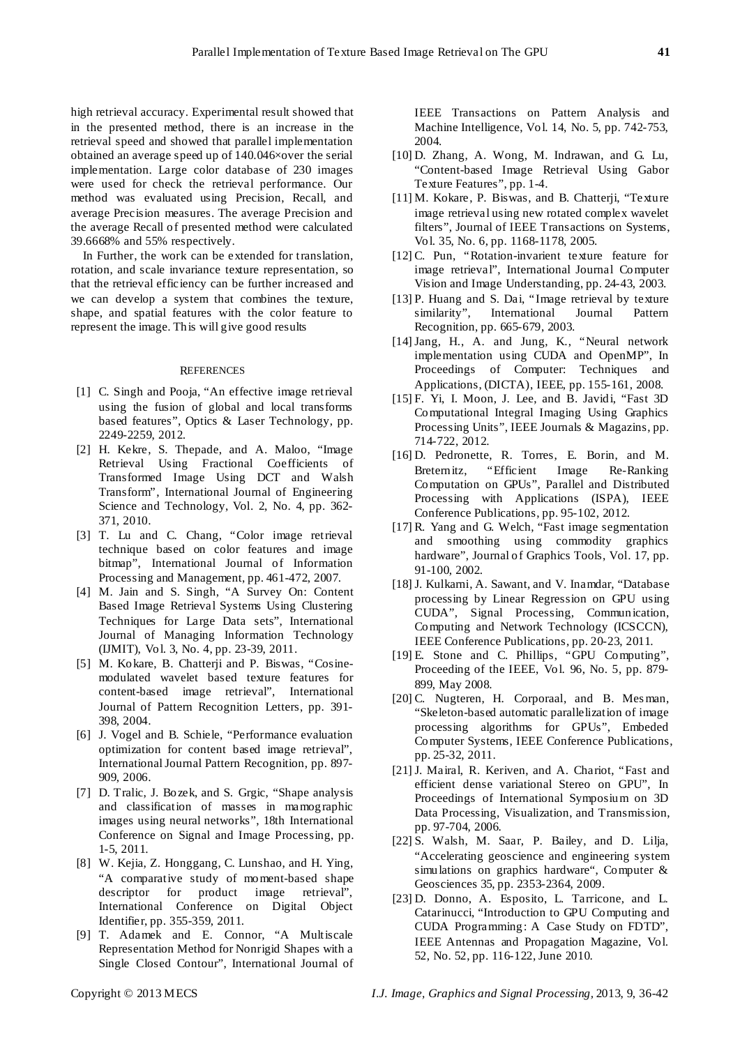high retrieval accuracy. Experimental result showed that in the presented method, there is an increase in the retrieval speed and showed that parallel implementation obtained an average speed up of 140.046×over the serial implementation. Large color database of 230 images were used for check the retrieval performance. Our method was evaluated using Precision, Recall, and average Precision measures. The average Precision and the average Recall of presented method were calculated 39.6668% and 55% respectively.

In Further, the work can be extended for translation, rotation, and scale invariance texture representation, so that the retrieval efficiency can be further increased and we can develop a system that combines the texture, shape, and spatial features with the color feature to represent the image. This will give good results

#### **REFERENCES**

- [1] C. Singh and Pooja, "An effective image retrieval using the fusion of global and local transforms based features", Optics & Laser Technology, pp. 2249-2259, 2012.
- [2] H. Kekre, S. Thepade, and A. Maloo, "Image Retrieval Using Fractional Coefficients of Transformed Image Using DCT and Walsh Transform", International Journal of Engineering Science and Technology, Vol. 2, No. 4, pp. 362- 371, 2010.
- [3] T. Lu and C. Chang, "Color image retrieval technique based on color features and image bitmap", International Journal of Information Processing and Management, pp. 461-472, 2007.
- [4] M. Jain and S. Singh, "A Survey On: Content Based Image Retrieval Systems Using Clustering Techniques for Large Data sets", International Journal of Managing Information Technology (IJMIT), Vol. 3, No. 4, pp. 23-39, 2011.
- [5] M. Kokare, B. Chatterji and P. Biswas, "Cosinemodulated wavelet based texture features for content-based image retrieval", International Journal of Pattern Recognition Letters, pp. 391- 398, 2004.
- [6] J. Vogel and B. Schiele, "Performance evaluation optimization for content based image retrieval", International Journal Pattern Recognition, pp. 897- 909, 2006.
- [7] D. Tralic, J. Bozek, and S. Grgic, "Shape analysis and classification of masses in mamographic images using neural networks", 18th International Conference on Signal and Image Processing, pp. 1-5, 2011.
- [8] W. Kejia, Z. Honggang, C. Lunshao, and H. Ying, "A comparative study of moment-based shape descriptor for product image retrieval", International Conference on Digital Object Identifier, pp. 355-359, 2011.
- [9] T. Adamek and E. Connor, "A Multiscale Representation Method for Nonrigid Shapes with a Single Closed Contour", International Journal of

IEEE Transactions on Pattern Analysis and Machine Intelligence, Vol. 14, No. 5, pp. 742-753, 2004.

- [10] D. Zhang, A. Wong, M. Indrawan, and G. Lu, "Content-based Image Retrieval Using Gabor Texture Features", pp. 1-4.
- [11] M. Kokare, P. Biswas, and B. Chatterji, "Texture image retrieval using new rotated complex wavelet filters", Journal of IEEE Transactions on Systems, Vol. 35, No. 6, pp. 1168-1178, 2005.
- [12] C. Pun, "Rotation-invarient texture feature for image retrieval", International Journal Computer Vision and Image Understanding, pp. 24-43, 2003.
- [13] P. Huang and S. Dai, "Image retrieval by texture similarity", International Journal Pattern Recognition, pp. 665-679, 2003.
- [14] Jang, H., A. and Jung, K., "Neural network implementation using CUDA and OpenMP", In Proceedings of Computer: Techniques and Applications, (DICTA), IEEE, pp. 155-161, 2008.
- [15] F. Yi, I. Moon, J. Lee, and B. Javidi, "Fast 3D Computational Integral Imaging Using Graphics Processing Units", IEEE Journals & Magazins, pp. 714-722, 2012.
- [16] D. Pedronette, R. Torres, E. Borin, and M. Breternitz, "Efficient Image Re-Ranking Computation on GPUs", Parallel and Distributed Processing with Applications (ISPA), IEEE Conference Publications, pp. 95-102, 2012.
- [17] R. Yang and G. Welch, "Fast image segmentation and smoothing using commodity graphics hardware", Journal of Graphics Tools, Vol. 17, pp. 91-100, 2002.
- [18] J. Kulkarni, A. Sawant, and V. Inamdar, "Database processing by Linear Regression on GPU using CUDA", Signal Processing, Communication, Computing and Network Technology (ICSCCN), IEEE Conference Publications, pp. 20-23, 2011.
- [19] E. Stone and C. Phillips, "GPU Computing", Proceeding of the IEEE, Vol. 96, No. 5, pp. 879- 899, May 2008.
- [20] C. Nugteren, H. Corporaal, and B. Mes man, "Skeleton-based automatic parallelization of image processing algorithms for GPUs", Embeded Computer Systems, IEEE Conference Publications, pp. 25-32, 2011.
- [21] J. Mairal, R. Keriven, and A. Chariot, "Fast and efficient dense variational Stereo on GPU", In Proceedings of International Symposium on 3D Data Processing, Visualization, and Transmission, pp. 97-704, 2006.
- [22] S. Walsh, M. Saar, P. Bailey, and D. Lilja, "Accelerating geoscience and engineering system simulations on graphics hardware", Computer & Geosciences 35, pp. 2353-2364, 2009.
- [23] D. Donno, A. Esposito, L. Tarricone, and L. Catarinucci, "Introduction to GPU Computing and CUDA Programming: A Case Study on FDTD", IEEE Antennas and Propagation Magazine, Vol. 52, No. 52, pp. 116-122, June 2010.